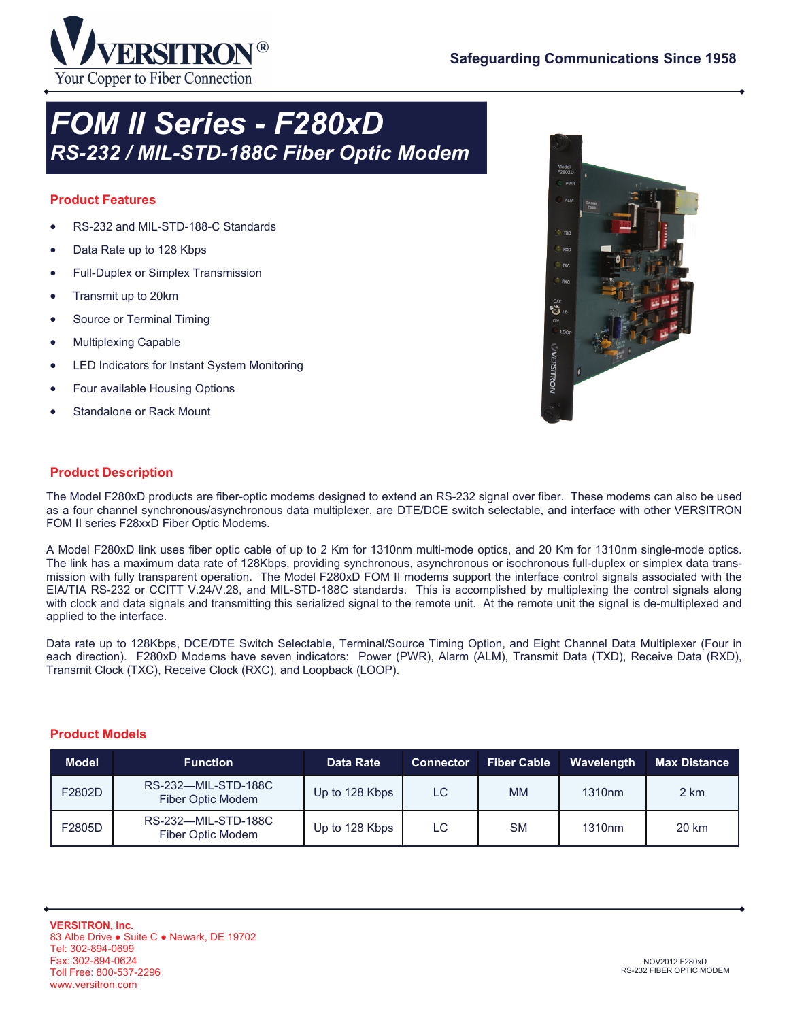

## *FOM II Series - F280xD RS-232 / MIL-STD-188C Fiber Optic Modem*

### **Product Features**

- RS-232 and MIL-STD-188-C Standards
- Data Rate up to 128 Kbps
- Full-Duplex or Simplex Transmission
- Transmit up to 20km
- Source or Terminal Timing
- Multiplexing Capable
- LED Indicators for Instant System Monitoring
- Four available Housing Options
- Standalone or Rack Mount



### **Product Description**

The Model F280xD products are fiber-optic modems designed to extend an RS-232 signal over fiber. These modems can also be used as a four channel synchronous/asynchronous data multiplexer, are DTE/DCE switch selectable, and interface with other VERSITRON FOM II series F28xxD Fiber Optic Modems.

A Model F280xD link uses fiber optic cable of up to 2 Km for 1310nm multi-mode optics, and 20 Km for 1310nm single-mode optics. The link has a maximum data rate of 128Kbps, providing synchronous, asynchronous or isochronous full-duplex or simplex data transmission with fully transparent operation. The Model F280xD FOM II modems support the interface control signals associated with the EIA/TIA RS-232 or CCITT V.24/V.28, and MIL-STD-188C standards. This is accomplished by multiplexing the control signals along with clock and data signals and transmitting this serialized signal to the remote unit. At the remote unit the signal is de-multiplexed and applied to the interface.

Data rate up to 128Kbps, DCE/DTE Switch Selectable, Terminal/Source Timing Option, and Eight Channel Data Multiplexer (Four in each direction). F280xD Modems have seven indicators: Power (PWR), Alarm (ALM), Transmit Data (TXD), Receive Data (RXD), Transmit Clock (TXC), Receive Clock (RXC), and Loopback (LOOP).

#### **Product Models**

| <b>Model</b> | <b>Function</b>                          | Data Rate      | <b>Connector</b> | <b>Fiber Cable</b> | Wavelength         | <b>Max Distance</b> |
|--------------|------------------------------------------|----------------|------------------|--------------------|--------------------|---------------------|
| F2802D       | RS-232-MIL-STD-188C<br>Fiber Optic Modem | Up to 128 Kbps | LC               | <b>MM</b>          | 1310 <sub>nm</sub> | 2 km                |
| F2805D       | RS-232-MIL-STD-188C<br>Fiber Optic Modem | Up to 128 Kbps | LC.              | <b>SM</b>          | 1310 <sub>nm</sub> | 20 km               |